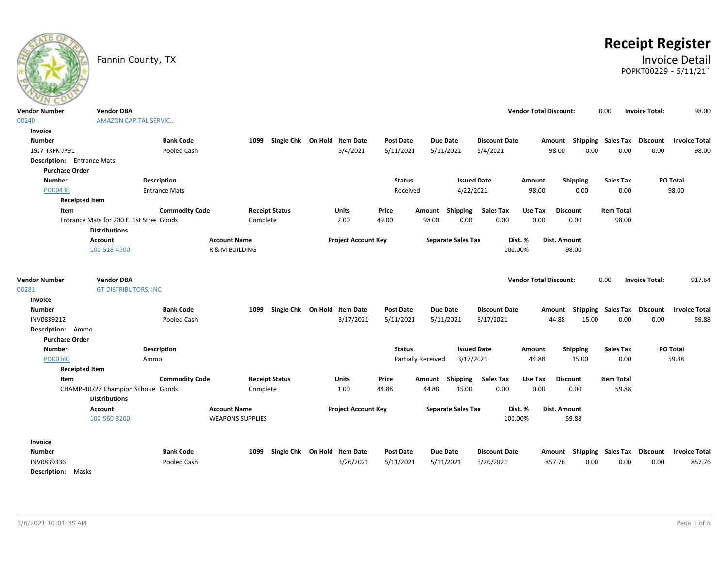# **Receipt Register**

### Fannin County, TX **Invoice Detail** POPKT00229 - 5/11/21`

| ---                                                       |                                                                  |                         |                       |                              |                               |                           |                                   |                               |                           |                   |                                          |                                |
|-----------------------------------------------------------|------------------------------------------------------------------|-------------------------|-----------------------|------------------------------|-------------------------------|---------------------------|-----------------------------------|-------------------------------|---------------------------|-------------------|------------------------------------------|--------------------------------|
| <b>Vendor Number</b>                                      | <b>Vendor DBA</b>                                                |                         |                       |                              |                               |                           |                                   | <b>Vendor Total Discount:</b> |                           | 0.00              | <b>Invoice Total:</b>                    | 98.00                          |
| 00240                                                     | <b>AMAZON CAPITAL SERVIC</b>                                     |                         |                       |                              |                               |                           |                                   |                               |                           |                   |                                          |                                |
| Invoice                                                   |                                                                  |                         |                       |                              |                               |                           |                                   |                               |                           |                   |                                          |                                |
| <b>Number</b>                                             | <b>Bank Code</b>                                                 | 1099                    |                       | Single Chk On Hold Item Date | <b>Post Date</b>              | Due Date                  | <b>Discount Date</b>              |                               |                           |                   | Amount Shipping Sales Tax Discount       | <b>Invoice Total</b>           |
| 19J7-TXFK-JP91                                            | Pooled Cash                                                      |                         |                       | 5/4/2021                     | 5/11/2021                     | 5/11/2021                 | 5/4/2021                          | 98.00                         | 0.00                      | 0.00              | 0.00                                     | 98.00                          |
| <b>Description:</b> Entrance Mats                         |                                                                  |                         |                       |                              |                               |                           |                                   |                               |                           |                   |                                          |                                |
| <b>Purchase Order</b>                                     |                                                                  |                         |                       |                              |                               |                           |                                   |                               |                           |                   |                                          |                                |
| <b>Number</b>                                             | Description                                                      |                         |                       |                              | <b>Status</b>                 |                           | <b>Issued Date</b>                | Amount                        | Shipping                  | <b>Sales Tax</b>  |                                          | <b>PO Total</b>                |
| PO00436                                                   | <b>Entrance Mats</b>                                             |                         |                       |                              | Received                      |                           | 4/22/2021                         | 98.00                         | 0.00                      | 0.00              |                                          | 98.00                          |
| <b>Receipted Item</b>                                     |                                                                  |                         |                       |                              |                               |                           |                                   |                               |                           |                   |                                          |                                |
| Item                                                      | <b>Commodity Code</b>                                            |                         | <b>Receipt Status</b> | Units                        | Price                         | Amount Shipping           | <b>Sales Tax</b>                  | Use Tax                       | <b>Discount</b>           | <b>Item Total</b> |                                          |                                |
|                                                           | Entrance Mats for 200 E. 1st Stree Goods<br><b>Distributions</b> | Complete                |                       | 2.00                         | 49.00                         | 0.00<br>98.00             | 0.00                              | 0.00                          | 0.00                      | 98.00             |                                          |                                |
|                                                           | Account                                                          | <b>Account Name</b>     |                       | <b>Project Account Key</b>   |                               | <b>Separate Sales Tax</b> | Dist. %                           | Dist. Amount                  |                           |                   |                                          |                                |
|                                                           | 100-518-4500                                                     | R & M BUILDING          |                       |                              |                               |                           | 100.00%                           |                               | 98.00                     |                   |                                          |                                |
| <b>Vendor Number</b><br>00281<br>Invoice<br><b>Number</b> | <b>Vendor DBA</b><br><b>GT DISTRIBUTORS, INC</b>                 | 1099                    |                       | Single Chk On Hold Item Date |                               | <b>Due Date</b>           |                                   | <b>Vendor Total Discount:</b> | Amount Shipping Sales Tax | 0.00              | <b>Invoice Total:</b><br><b>Discount</b> | 917.64<br><b>Invoice Total</b> |
|                                                           | <b>Bank Code</b>                                                 |                         |                       | 3/17/2021                    | <b>Post Date</b><br>5/11/2021 | 5/11/2021                 | <b>Discount Date</b><br>3/17/2021 | 44.88                         | 15.00                     | 0.00              | 0.00                                     | 59.88                          |
| INV0839212<br>Description: Ammo                           | Pooled Cash                                                      |                         |                       |                              |                               |                           |                                   |                               |                           |                   |                                          |                                |
| <b>Purchase Order</b>                                     |                                                                  |                         |                       |                              |                               |                           |                                   |                               |                           |                   |                                          |                                |
| <b>Number</b>                                             | Description                                                      |                         |                       |                              | <b>Status</b>                 |                           | <b>Issued Date</b>                |                               |                           | <b>Sales Tax</b>  |                                          | PO Total                       |
| PO00360                                                   | Ammo                                                             |                         |                       |                              |                               | Partially Received        | 3/17/2021                         | Amount<br>44.88               | Shipping<br>15.00         | 0.00              |                                          | 59.88                          |
| <b>Receipted Item</b>                                     |                                                                  |                         |                       |                              |                               |                           |                                   |                               |                           |                   |                                          |                                |
| Item                                                      | <b>Commodity Code</b>                                            |                         | <b>Receipt Status</b> | <b>Units</b>                 | Price                         | Amount Shipping           | <b>Sales Tax</b>                  | Use Tax                       | <b>Discount</b>           | <b>Item Total</b> |                                          |                                |
|                                                           | CHAMP-40727 Champion Silhoue Goods                               | Complete                |                       | 1.00                         | 44.88                         | 44.88<br>15.00            | 0.00                              | 0.00                          | 0.00                      | 59.88             |                                          |                                |
|                                                           | <b>Distributions</b>                                             |                         |                       |                              |                               |                           |                                   |                               |                           |                   |                                          |                                |
|                                                           | <b>Account</b>                                                   | <b>Account Name</b>     |                       | <b>Project Account Key</b>   |                               | <b>Separate Sales Tax</b> | Dist. %                           | Dist. Amount                  |                           |                   |                                          |                                |
|                                                           | 100-560-3200                                                     | <b>WEAPONS SUPPLIES</b> |                       |                              |                               |                           | 100.00%                           |                               | 59.88                     |                   |                                          |                                |
|                                                           |                                                                  |                         |                       |                              |                               |                           |                                   |                               |                           |                   |                                          |                                |
| Invoice                                                   |                                                                  |                         |                       |                              |                               |                           |                                   |                               |                           |                   |                                          |                                |
| <b>Number</b>                                             | <b>Bank Code</b>                                                 | 1099                    |                       | Single Chk On Hold Item Date | Post Date                     | Due Date                  | <b>Discount Date</b>              |                               | Amount Shipping Sales Tax |                   | Discount                                 | <b>Invoice Total</b>           |
| INV0839336                                                | Pooled Cash                                                      |                         |                       | 3/26/2021                    | 5/11/2021                     | 5/11/2021                 | 3/26/2021                         | 857.76                        | 0.00                      | 0.00              | 0.00                                     | 857.76                         |
| <b>Description:</b> Masks                                 |                                                                  |                         |                       |                              |                               |                           |                                   |                               |                           |                   |                                          |                                |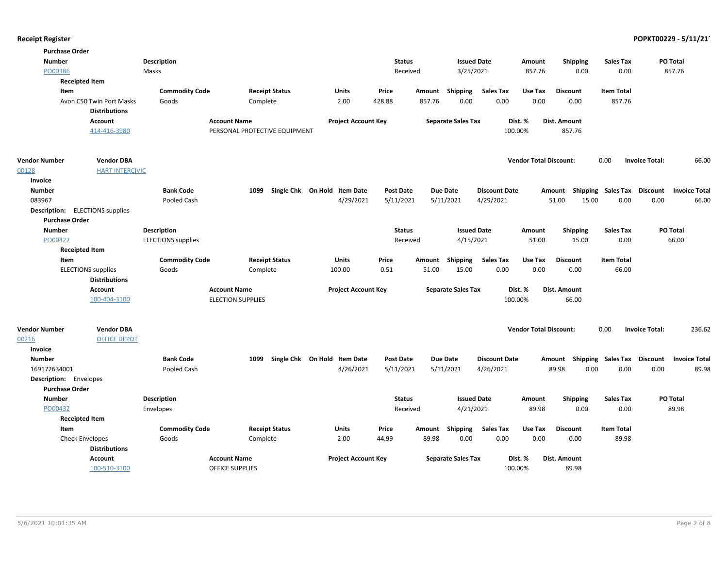| <b>Purchase Order</b>  |                                        |                           |                               |                              |                  |                           |                      |                               |                     |                             |                                  |
|------------------------|----------------------------------------|---------------------------|-------------------------------|------------------------------|------------------|---------------------------|----------------------|-------------------------------|---------------------|-----------------------------|----------------------------------|
| <b>Number</b>          |                                        | <b>Description</b>        |                               |                              | <b>Status</b>    |                           | <b>Issued Date</b>   | Amount                        | <b>Shipping</b>     | <b>Sales Tax</b>            | PO Total                         |
| PO00386                |                                        | Masks                     |                               |                              | Received         | 3/25/2021                 |                      | 857.76                        | 0.00                | 0.00                        | 857.76                           |
|                        | <b>Receipted Item</b>                  |                           |                               |                              |                  |                           |                      |                               |                     |                             |                                  |
| Item                   |                                        | <b>Commodity Code</b>     | <b>Receipt Status</b>         | Units                        | Price            | Amount Shipping           | <b>Sales Tax</b>     | Use Tax                       | <b>Discount</b>     | <b>Item Total</b>           |                                  |
|                        | Avon C50 Twin Port Masks               | Goods                     | Complete                      | 2.00                         | 428.88           | 0.00<br>857.76            | 0.00                 | 0.00                          | 0.00                | 857.76                      |                                  |
|                        | <b>Distributions</b>                   |                           |                               |                              |                  |                           |                      |                               |                     |                             |                                  |
|                        | Account                                |                           | <b>Account Name</b>           | <b>Project Account Key</b>   |                  | <b>Separate Sales Tax</b> |                      | Dist. %                       | <b>Dist. Amount</b> |                             |                                  |
|                        | 414-416-3980                           |                           | PERSONAL PROTECTIVE EQUIPMENT |                              |                  |                           |                      | 100.00%                       | 857.76              |                             |                                  |
| <b>Vendor Number</b>   | <b>Vendor DBA</b>                      |                           |                               |                              |                  |                           |                      | <b>Vendor Total Discount:</b> |                     | 0.00                        | <b>Invoice Total:</b><br>66.00   |
| 00128                  | <b>HART INTERCIVIC</b>                 |                           |                               |                              |                  |                           |                      |                               |                     |                             |                                  |
| Invoice                |                                        |                           |                               |                              |                  |                           |                      |                               |                     |                             |                                  |
| <b>Number</b>          |                                        | <b>Bank Code</b>          | 1099                          | Single Chk On Hold Item Date | <b>Post Date</b> | Due Date                  | <b>Discount Date</b> | Amount                        |                     | Shipping Sales Tax          | Discount<br><b>Invoice Total</b> |
| 083967                 |                                        | Pooled Cash               |                               | 4/29/2021                    | 5/11/2021        | 5/11/2021                 | 4/29/2021            |                               | 51.00<br>15.00      | 0.00                        | 0.00<br>66.00                    |
|                        | <b>Description:</b> ELECTIONS supplies |                           |                               |                              |                  |                           |                      |                               |                     |                             |                                  |
| <b>Purchase Order</b>  |                                        |                           |                               |                              |                  |                           |                      |                               |                     |                             |                                  |
| <b>Number</b>          |                                        | <b>Description</b>        |                               |                              | <b>Status</b>    |                           | <b>Issued Date</b>   | Amount                        | <b>Shipping</b>     | <b>Sales Tax</b>            | PO Total                         |
| PO00422                |                                        | <b>ELECTIONS</b> supplies |                               |                              | Received         | 4/15/2021                 |                      | 51.00                         | 15.00               | 0.00                        | 66.00                            |
|                        | <b>Receipted Item</b>                  |                           |                               |                              |                  |                           |                      |                               |                     |                             |                                  |
| Item                   |                                        | <b>Commodity Code</b>     | <b>Receipt Status</b>         | <b>Units</b>                 | Price            | Amount<br>Shipping        | <b>Sales Tax</b>     | Use Tax                       | <b>Discount</b>     | <b>Item Total</b>           |                                  |
|                        | <b>ELECTIONS</b> supplies              | Goods                     | Complete                      | 100.00                       | 0.51             | 15.00<br>51.00            | 0.00                 | 0.00                          | 0.00                | 66.00                       |                                  |
|                        | <b>Distributions</b>                   |                           |                               |                              |                  |                           |                      |                               |                     |                             |                                  |
|                        | <b>Account</b>                         |                           | <b>Account Name</b>           | <b>Project Account Key</b>   |                  | <b>Separate Sales Tax</b> |                      | Dist. %                       | Dist. Amount        |                             |                                  |
|                        | 100-404-3100                           |                           | <b>ELECTION SUPPLIES</b>      |                              |                  |                           |                      | 100.00%                       | 66.00               |                             |                                  |
| <b>Vendor Number</b>   | <b>Vendor DBA</b>                      |                           |                               |                              |                  |                           |                      | <b>Vendor Total Discount:</b> |                     | 0.00                        | <b>Invoice Total:</b><br>236.62  |
| 00216                  | <b>OFFICE DEPOT</b>                    |                           |                               |                              |                  |                           |                      |                               |                     |                             |                                  |
| Invoice                |                                        |                           |                               |                              |                  |                           |                      |                               |                     |                             |                                  |
| <b>Number</b>          |                                        | <b>Bank Code</b>          | 1099                          | Single Chk On Hold Item Date | <b>Post Date</b> | <b>Due Date</b>           | <b>Discount Date</b> | Amount                        |                     | Shipping Sales Tax Discount | <b>Invoice Total</b>             |
| 169172634001           |                                        | Pooled Cash               |                               | 4/26/2021                    | 5/11/2021        | 5/11/2021                 | 4/26/2021            |                               | 89.98<br>0.00       | 0.00                        | 89.98<br>0.00                    |
| Description: Envelopes |                                        |                           |                               |                              |                  |                           |                      |                               |                     |                             |                                  |
| <b>Purchase Order</b>  |                                        |                           |                               |                              |                  |                           |                      |                               |                     |                             |                                  |
| <b>Number</b>          |                                        | <b>Description</b>        |                               |                              | <b>Status</b>    |                           | <b>Issued Date</b>   | Amount                        | <b>Shipping</b>     | <b>Sales Tax</b>            | PO Total                         |
| PO00432                |                                        | Envelopes                 |                               |                              | Received         | 4/21/2021                 |                      | 89.98                         | 0.00                | 0.00                        | 89.98                            |
|                        | <b>Receipted Item</b>                  |                           |                               |                              |                  |                           |                      |                               |                     |                             |                                  |
| Item                   |                                        | <b>Commodity Code</b>     | <b>Receipt Status</b>         | Units                        | Price            | Amount Shipping           | <b>Sales Tax</b>     | Use Tax                       | <b>Discount</b>     | <b>Item Total</b>           |                                  |
|                        | <b>Check Envelopes</b>                 | Goods                     | Complete                      | 2.00                         | 44.99            | 89.98<br>0.00             | 0.00                 | 0.00                          | 0.00                | 89.98                       |                                  |
|                        | <b>Distributions</b>                   |                           |                               |                              |                  |                           |                      |                               |                     |                             |                                  |
|                        | <b>Account</b>                         |                           | <b>Account Name</b>           | <b>Project Account Key</b>   |                  | <b>Separate Sales Tax</b> |                      | Dist. %                       | Dist. Amount        |                             |                                  |
|                        | 100-510-3100                           |                           | <b>OFFICE SUPPLIES</b>        |                              |                  |                           |                      | 100.00%                       | 89.98               |                             |                                  |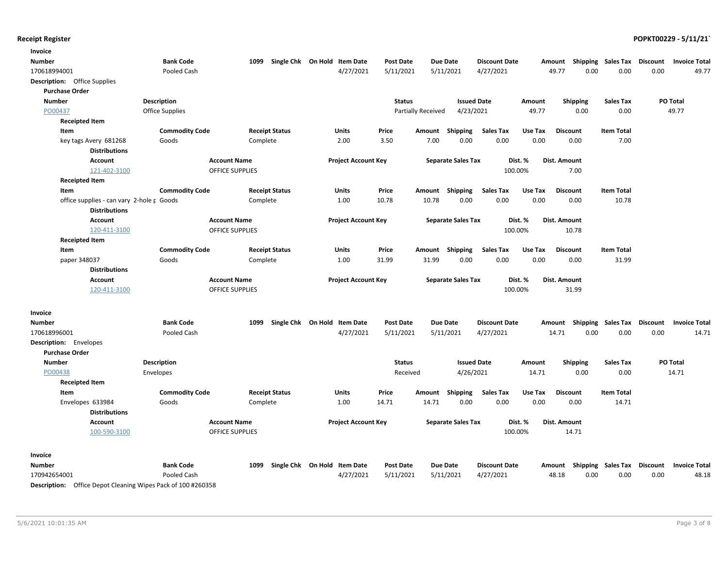| Invoice                                                             |                        |                        |                              |                  |                    |                           |                      |         |                                    |                   |                 |                      |
|---------------------------------------------------------------------|------------------------|------------------------|------------------------------|------------------|--------------------|---------------------------|----------------------|---------|------------------------------------|-------------------|-----------------|----------------------|
| Number                                                              | <b>Bank Code</b>       | 1099                   | Single Chk On Hold Item Date | <b>Post Date</b> | <b>Due Date</b>    |                           | <b>Discount Date</b> |         | Amount Shipping Sales Tax          |                   | <b>Discount</b> | <b>Invoice Total</b> |
| 170618994001                                                        | Pooled Cash            |                        | 4/27/2021                    | 5/11/2021        | 5/11/2021          |                           | 4/27/2021            |         | 0.00<br>49.77                      | 0.00              | 0.00            | 49.77                |
| <b>Description:</b> Office Supplies                                 |                        |                        |                              |                  |                    |                           |                      |         |                                    |                   |                 |                      |
| <b>Purchase Order</b>                                               |                        |                        |                              |                  |                    |                           |                      |         |                                    |                   |                 |                      |
| <b>Number</b>                                                       | <b>Description</b>     |                        |                              | <b>Status</b>    |                    | <b>Issued Date</b>        |                      | Amount  | <b>Shipping</b>                    | <b>Sales Tax</b>  |                 | PO Total             |
| PO00437                                                             | <b>Office Supplies</b> |                        |                              |                  | Partially Received | 4/23/2021                 |                      | 49.77   | 0.00                               | 0.00              |                 | 49.77                |
| <b>Receipted Item</b>                                               |                        |                        |                              |                  |                    |                           |                      |         |                                    |                   |                 |                      |
| Item                                                                | <b>Commodity Code</b>  | <b>Receipt Status</b>  | Units                        | Price            | Amount             | <b>Shipping</b>           | <b>Sales Tax</b>     | Use Tax | <b>Discount</b>                    | <b>Item Total</b> |                 |                      |
| key tags Avery 681268                                               | Goods                  | Complete               | 2.00                         | 3.50             | 7.00               | 0.00                      | 0.00                 | 0.00    | 0.00                               | 7.00              |                 |                      |
| <b>Distributions</b>                                                |                        |                        |                              |                  |                    |                           |                      |         |                                    |                   |                 |                      |
| <b>Account</b>                                                      |                        | <b>Account Name</b>    | <b>Project Account Key</b>   |                  |                    | <b>Separate Sales Tax</b> | Dist. %              |         | Dist. Amount                       |                   |                 |                      |
| 121-402-3100                                                        |                        | <b>OFFICE SUPPLIES</b> |                              |                  |                    |                           | 100.00%              |         | 7.00                               |                   |                 |                      |
| <b>Receipted Item</b>                                               |                        |                        |                              |                  |                    |                           |                      |         |                                    |                   |                 |                      |
| Item                                                                | <b>Commodity Code</b>  | <b>Receipt Status</b>  | Units                        | Price            | Amount Shipping    |                           | <b>Sales Tax</b>     | Use Tax | <b>Discount</b>                    | <b>Item Total</b> |                 |                      |
| office supplies - can vary 2-hole r Goods                           |                        | Complete               | 1.00                         | 10.78            | 10.78              | 0.00                      | 0.00                 | 0.00    | 0.00                               | 10.78             |                 |                      |
| <b>Distributions</b>                                                |                        |                        |                              |                  |                    |                           |                      |         |                                    |                   |                 |                      |
| <b>Account</b>                                                      |                        | <b>Account Name</b>    | <b>Project Account Key</b>   |                  |                    | <b>Separate Sales Tax</b> | Dist. %              |         | Dist. Amount                       |                   |                 |                      |
| 120-411-3100                                                        |                        | <b>OFFICE SUPPLIES</b> |                              |                  |                    |                           | 100.00%              |         | 10.78                              |                   |                 |                      |
| <b>Receipted Item</b>                                               |                        |                        |                              |                  |                    |                           |                      |         |                                    |                   |                 |                      |
| Item                                                                | <b>Commodity Code</b>  | <b>Receipt Status</b>  | Units                        | Price            | Amount             | <b>Shipping</b>           | <b>Sales Tax</b>     | Use Tax | <b>Discount</b>                    | <b>Item Total</b> |                 |                      |
| paper 348037                                                        | Goods                  | Complete               | 1.00                         | 31.99            | 31.99              | 0.00                      | 0.00                 | 0.00    | 0.00                               | 31.99             |                 |                      |
| <b>Distributions</b>                                                |                        |                        |                              |                  |                    |                           |                      |         |                                    |                   |                 |                      |
| Account                                                             |                        | <b>Account Name</b>    | <b>Project Account Key</b>   |                  |                    | <b>Separate Sales Tax</b> | Dist. %              |         | Dist. Amount                       |                   |                 |                      |
| 120-411-3100                                                        |                        | <b>OFFICE SUPPLIES</b> |                              |                  |                    |                           | 100.00%              |         | 31.99                              |                   |                 |                      |
| Invoice                                                             |                        |                        |                              |                  |                    |                           |                      |         |                                    |                   |                 |                      |
| Number                                                              | <b>Bank Code</b>       | 1099                   | Single Chk On Hold Item Date | <b>Post Date</b> | <b>Due Date</b>    |                           | <b>Discount Date</b> |         | Amount Shipping Sales Tax Discount |                   |                 | <b>Invoice Total</b> |
| 170618996001                                                        | Pooled Cash            |                        | 4/27/2021                    | 5/11/2021        | 5/11/2021          |                           | 4/27/2021            |         | 14.71<br>0.00                      | 0.00              | 0.00            | 14.71                |
| <b>Description:</b> Envelopes                                       |                        |                        |                              |                  |                    |                           |                      |         |                                    |                   |                 |                      |
| <b>Purchase Order</b>                                               |                        |                        |                              |                  |                    |                           |                      |         |                                    |                   |                 |                      |
| <b>Number</b>                                                       | <b>Description</b>     |                        |                              | <b>Status</b>    |                    | <b>Issued Date</b>        |                      | Amount  | <b>Shipping</b>                    | <b>Sales Tax</b>  |                 | PO Total             |
| PO00438                                                             | Envelopes              |                        |                              | Received         |                    | 4/26/2021                 |                      | 14.71   | 0.00                               | 0.00              |                 | 14.71                |
| <b>Receipted Item</b>                                               |                        |                        |                              |                  |                    |                           |                      |         |                                    |                   |                 |                      |
| Item                                                                | <b>Commodity Code</b>  | <b>Receipt Status</b>  | Units                        | Price            | Amount             | Shipping                  | Sales Tax            | Use Tax | <b>Discount</b>                    | <b>Item Total</b> |                 |                      |
| Envelopes 633984                                                    | Goods                  | Complete               | 1.00                         | 14.71            | 14.71              | 0.00                      | 0.00                 | 0.00    | 0.00                               | 14.71             |                 |                      |
| <b>Distributions</b>                                                |                        |                        |                              |                  |                    |                           |                      |         |                                    |                   |                 |                      |
| <b>Account</b>                                                      |                        | <b>Account Name</b>    | <b>Project Account Key</b>   |                  |                    | <b>Separate Sales Tax</b> | Dist. %              |         | Dist. Amount                       |                   |                 |                      |
| 100-590-3100                                                        |                        | <b>OFFICE SUPPLIES</b> |                              |                  |                    |                           | 100.00%              |         | 14.71                              |                   |                 |                      |
| Invoice                                                             |                        |                        |                              |                  |                    |                           |                      |         |                                    |                   |                 |                      |
| Number                                                              | <b>Bank Code</b>       | 1099                   | Single Chk On Hold Item Date | <b>Post Date</b> | <b>Due Date</b>    |                           | <b>Discount Date</b> |         | Amount Shipping Sales Tax          |                   | <b>Discount</b> | <b>Invoice Total</b> |
| 170942654001                                                        | Pooled Cash            |                        | 4/27/2021                    | 5/11/2021        | 5/11/2021          |                           | 4/27/2021            |         | 48.18<br>0.00                      | 0.00              | 0.00            | 48.18                |
| <b>Description:</b> Office Depat Cleaning Wines Back of 100 #260258 |                        |                        |                              |                  |                    |                           |                      |         |                                    |                   |                 |                      |

Description: Office Depot Cleaning Wipes Pack of 100 #260358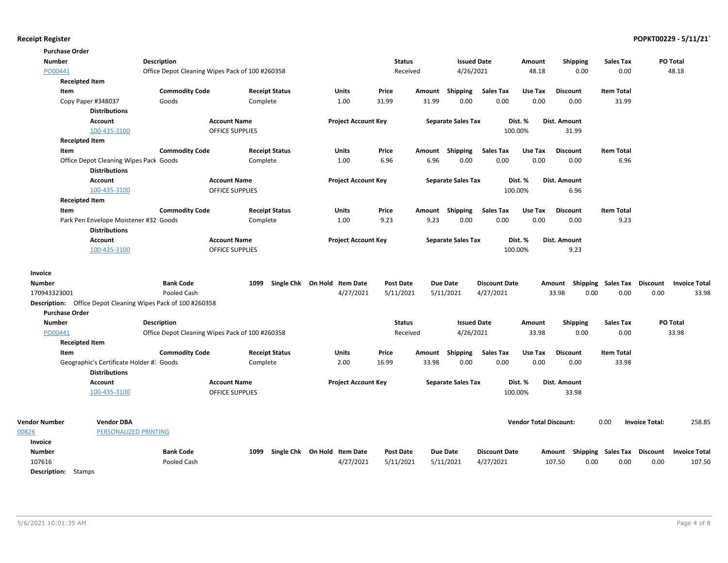| <b>Purchase Order</b>                                        |                                                                  |                                                 |                        |                       |                              |                  |        |                           |                      |                               |                 |                                    |                                 |
|--------------------------------------------------------------|------------------------------------------------------------------|-------------------------------------------------|------------------------|-----------------------|------------------------------|------------------|--------|---------------------------|----------------------|-------------------------------|-----------------|------------------------------------|---------------------------------|
| <b>Number</b>                                                |                                                                  | <b>Description</b>                              |                        |                       |                              | <b>Status</b>    |        | <b>Issued Date</b>        |                      | Amount                        | <b>Shipping</b> | Sales Tax                          | PO Total                        |
| PO00441                                                      |                                                                  | Office Depot Cleaning Wipes Pack of 100 #260358 |                        |                       |                              | Received         |        | 4/26/2021                 |                      | 48.18                         | 0.00            | 0.00                               | 48.18                           |
| <b>Receipted Item</b>                                        |                                                                  |                                                 |                        |                       |                              |                  |        |                           |                      |                               |                 |                                    |                                 |
| Item                                                         |                                                                  | <b>Commodity Code</b>                           |                        | <b>Receipt Status</b> | Units                        | Price            |        | Amount Shipping           | <b>Sales Tax</b>     | Use Tax                       | <b>Discount</b> | <b>Item Total</b>                  |                                 |
| Copy Paper #348037                                           |                                                                  | Goods                                           |                        | Complete              | 1.00                         | 31.99            | 31.99  | 0.00                      | 0.00                 | 0.00                          | 0.00            | 31.99                              |                                 |
|                                                              | <b>Distributions</b>                                             |                                                 |                        |                       |                              |                  |        |                           |                      |                               |                 |                                    |                                 |
|                                                              | <b>Account</b>                                                   |                                                 | <b>Account Name</b>    |                       | <b>Project Account Key</b>   |                  |        | <b>Separate Sales Tax</b> |                      | Dist. %                       | Dist. Amount    |                                    |                                 |
|                                                              | 100-435-3100                                                     |                                                 | <b>OFFICE SUPPLIES</b> |                       |                              |                  |        |                           |                      | 100.00%                       | 31.99           |                                    |                                 |
| <b>Receipted Item</b>                                        |                                                                  |                                                 |                        |                       |                              |                  |        |                           |                      |                               |                 |                                    |                                 |
| Item                                                         |                                                                  | <b>Commodity Code</b>                           |                        | <b>Receipt Status</b> | <b>Units</b>                 | Price            |        | Amount Shipping           | <b>Sales Tax</b>     | Use Tax                       | <b>Discount</b> | <b>Item Total</b>                  |                                 |
|                                                              | Office Depot Cleaning Wipes Pack Goods<br><b>Distributions</b>   |                                                 |                        | Complete              | 1.00                         | 6.96             | 6.96   | 0.00                      | 0.00                 | 0.00                          | 0.00            | 6.96                               |                                 |
|                                                              | <b>Account</b>                                                   |                                                 | <b>Account Name</b>    |                       | <b>Project Account Key</b>   |                  |        | <b>Separate Sales Tax</b> |                      | Dist. %                       | Dist. Amount    |                                    |                                 |
|                                                              | 100-435-3100                                                     |                                                 | <b>OFFICE SUPPLIES</b> |                       |                              |                  |        |                           |                      | 100.00%                       | 6.96            |                                    |                                 |
| <b>Receipted Item</b>                                        |                                                                  |                                                 |                        |                       |                              |                  |        |                           |                      |                               |                 |                                    |                                 |
| Item                                                         |                                                                  | <b>Commodity Code</b>                           |                        | <b>Receipt Status</b> | Units                        | Price            | Amount | Shipping                  | <b>Sales Tax</b>     | Use Tax                       | <b>Discount</b> | <b>Item Total</b>                  |                                 |
|                                                              | Park Pen Envelope Moistener #32 Goods<br><b>Distributions</b>    |                                                 |                        | Complete              | 1.00                         | 9.23             | 9.23   | 0.00                      | 0.00                 | 0.00                          | 0.00            | 9.23                               |                                 |
|                                                              | <b>Account</b>                                                   |                                                 | <b>Account Name</b>    |                       | <b>Project Account Key</b>   |                  |        | <b>Separate Sales Tax</b> |                      | Dist. %                       | Dist. Amount    |                                    |                                 |
|                                                              | 100-435-3100                                                     |                                                 | <b>OFFICE SUPPLIES</b> |                       |                              |                  |        |                           |                      | 100.00%                       | 9.23            |                                    |                                 |
| Invoice                                                      |                                                                  |                                                 |                        |                       |                              |                  |        |                           |                      |                               |                 |                                    |                                 |
| <b>Number</b>                                                |                                                                  | <b>Bank Code</b>                                |                        | 1099                  | Single Chk On Hold Item Date | <b>Post Date</b> |        | <b>Due Date</b>           | <b>Discount Date</b> |                               | Amount          | Shipping Sales Tax Discount        | <b>Invoice Total</b>            |
| 170943323001                                                 |                                                                  | Pooled Cash                                     |                        |                       | 4/27/2021                    | 5/11/2021        |        | 5/11/2021                 | 4/27/2021            |                               | 33.98           | 0.00<br>0.00                       | 0.00<br>33.98                   |
| Description: Office Depot Cleaning Wipes Pack of 100 #260358 |                                                                  |                                                 |                        |                       |                              |                  |        |                           |                      |                               |                 |                                    |                                 |
| <b>Purchase Order</b>                                        |                                                                  |                                                 |                        |                       |                              |                  |        |                           |                      |                               |                 |                                    |                                 |
| <b>Number</b>                                                |                                                                  | <b>Description</b>                              |                        |                       |                              | <b>Status</b>    |        | <b>Issued Date</b>        |                      | Amount                        | <b>Shipping</b> | <b>Sales Tax</b>                   | <b>PO Total</b>                 |
| PO00441                                                      |                                                                  | Office Depot Cleaning Wipes Pack of 100 #260358 |                        |                       |                              | Received         |        | 4/26/2021                 |                      | 33.98                         | 0.00            | 0.00                               | 33.98                           |
| <b>Receipted Item</b>                                        |                                                                  |                                                 |                        |                       |                              |                  |        |                           |                      |                               |                 |                                    |                                 |
| Item                                                         |                                                                  | <b>Commodity Code</b>                           |                        | <b>Receipt Status</b> | Units                        | Price            | Amount | Shipping<br>0.00          | <b>Sales Tax</b>     | Use Tax<br>0.00               | Discount        | <b>Item Total</b>                  |                                 |
|                                                              | Geographic's Certificate Holder #: Goods<br><b>Distributions</b> |                                                 |                        | Complete              | 2.00                         | 16.99            | 33.98  |                           | 0.00                 |                               | 0.00            | 33.98                              |                                 |
|                                                              | <b>Account</b>                                                   |                                                 | <b>Account Name</b>    |                       |                              |                  |        |                           |                      | Dist. %                       | Dist. Amount    |                                    |                                 |
|                                                              | 100-435-3100                                                     |                                                 | <b>OFFICE SUPPLIES</b> |                       | <b>Project Account Key</b>   |                  |        | <b>Separate Sales Tax</b> |                      | 100.00%                       | 33.98           |                                    |                                 |
|                                                              |                                                                  |                                                 |                        |                       |                              |                  |        |                           |                      |                               |                 |                                    |                                 |
| <b>Vendor Number</b>                                         | <b>Vendor DBA</b>                                                |                                                 |                        |                       |                              |                  |        |                           |                      | <b>Vendor Total Discount:</b> |                 | 0.00                               | <b>Invoice Total:</b><br>258.85 |
| 00826                                                        | <b>PERSONALIZED PRINTING</b>                                     |                                                 |                        |                       |                              |                  |        |                           |                      |                               |                 |                                    |                                 |
| Invoice                                                      |                                                                  |                                                 |                        |                       |                              |                  |        |                           |                      |                               |                 |                                    |                                 |
| <b>Number</b>                                                |                                                                  | <b>Bank Code</b>                                |                        | 1099                  | Single Chk On Hold Item Date | <b>Post Date</b> |        | <b>Due Date</b>           | <b>Discount Date</b> |                               |                 | Amount Shipping Sales Tax Discount | <b>Invoice Total</b>            |
| 107616                                                       |                                                                  | Pooled Cash                                     |                        |                       | 4/27/2021                    | 5/11/2021        |        | 5/11/2021                 | 4/27/2021            |                               | 107.50          | 0.00<br>0.00                       | 0.00<br>107.50                  |
| <b>Description:</b> Stamps                                   |                                                                  |                                                 |                        |                       |                              |                  |        |                           |                      |                               |                 |                                    |                                 |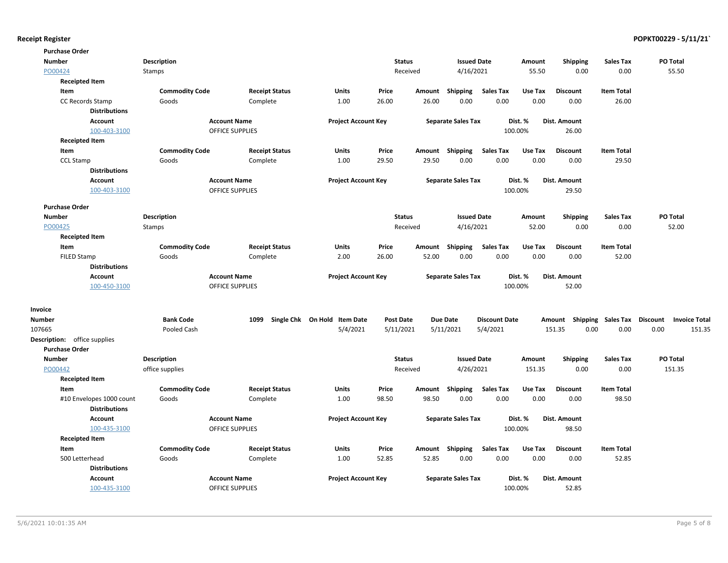| <b>Purchase Order</b>               |                       |                        |                              |                  |        |                           |                      |         |                                    |                   |                 |                      |
|-------------------------------------|-----------------------|------------------------|------------------------------|------------------|--------|---------------------------|----------------------|---------|------------------------------------|-------------------|-----------------|----------------------|
| <b>Number</b>                       | <b>Description</b>    |                        |                              | <b>Status</b>    |        | <b>Issued Date</b>        |                      | Amount  | <b>Shipping</b>                    | <b>Sales Tax</b>  | PO Total        |                      |
| PO00424                             | Stamps                |                        |                              | Received         |        | 4/16/2021                 |                      | 55.50   | 0.00                               | 0.00              |                 | 55.50                |
| <b>Receipted Item</b>               |                       |                        |                              |                  |        |                           |                      |         |                                    |                   |                 |                      |
| Item                                | <b>Commodity Code</b> | <b>Receipt Status</b>  | Units                        | Price            | Amount | Shipping                  | <b>Sales Tax</b>     | Use Tax | <b>Discount</b>                    | <b>Item Total</b> |                 |                      |
| CC Records Stamp                    | Goods                 | Complete               | 1.00                         | 26.00            | 26.00  | 0.00                      | 0.00                 | 0.00    | 0.00                               | 26.00             |                 |                      |
| <b>Distributions</b>                |                       |                        |                              |                  |        |                           |                      |         |                                    |                   |                 |                      |
| <b>Account</b>                      |                       | <b>Account Name</b>    | <b>Project Account Key</b>   |                  |        | <b>Separate Sales Tax</b> |                      | Dist. % | Dist. Amount                       |                   |                 |                      |
| 100-403-3100                        |                       | <b>OFFICE SUPPLIES</b> |                              |                  |        |                           |                      | 100.00% | 26.00                              |                   |                 |                      |
| <b>Receipted Item</b>               |                       |                        |                              |                  |        |                           |                      |         |                                    |                   |                 |                      |
| Item                                | <b>Commodity Code</b> | <b>Receipt Status</b>  | Units                        | Price            |        | Amount Shipping           | <b>Sales Tax</b>     | Use Tax | <b>Discount</b>                    | <b>Item Total</b> |                 |                      |
| <b>CCL Stamp</b>                    | Goods                 | Complete               | 1.00                         | 29.50            | 29.50  | 0.00                      | 0.00                 | 0.00    | 0.00                               | 29.50             |                 |                      |
| <b>Distributions</b>                |                       |                        |                              |                  |        |                           |                      |         |                                    |                   |                 |                      |
| <b>Account</b>                      |                       | <b>Account Name</b>    | <b>Project Account Key</b>   |                  |        | <b>Separate Sales Tax</b> |                      | Dist. % | Dist. Amount                       |                   |                 |                      |
| 100-403-3100                        |                       | <b>OFFICE SUPPLIES</b> |                              |                  |        |                           |                      | 100.00% | 29.50                              |                   |                 |                      |
| <b>Purchase Order</b>               |                       |                        |                              |                  |        |                           |                      |         |                                    |                   |                 |                      |
| <b>Number</b>                       | <b>Description</b>    |                        |                              | <b>Status</b>    |        | <b>Issued Date</b>        |                      | Amount  | <b>Shipping</b>                    | <b>Sales Tax</b>  | PO Total        |                      |
| PO00425                             | Stamps                |                        |                              | Received         |        | 4/16/2021                 |                      | 52.00   | 0.00                               | 0.00              |                 | 52.00                |
| <b>Receipted Item</b>               |                       |                        |                              |                  |        |                           |                      |         |                                    |                   |                 |                      |
| Item                                | <b>Commodity Code</b> | <b>Receipt Status</b>  | <b>Units</b>                 | Price            | Amount | Shipping                  | <b>Sales Tax</b>     | Use Tax | <b>Discount</b>                    | <b>Item Total</b> |                 |                      |
| <b>FILED Stamp</b>                  | Goods                 | Complete               | 2.00                         | 26.00            | 52.00  | 0.00                      | 0.00                 | 0.00    | 0.00                               | 52.00             |                 |                      |
| <b>Distributions</b>                |                       |                        |                              |                  |        |                           |                      |         |                                    |                   |                 |                      |
| <b>Account</b>                      |                       | <b>Account Name</b>    | <b>Project Account Key</b>   |                  |        | <b>Separate Sales Tax</b> |                      | Dist. % | Dist. Amount                       |                   |                 |                      |
| 100-450-3100                        |                       | <b>OFFICE SUPPLIES</b> |                              |                  |        |                           |                      | 100.00% | 52.00                              |                   |                 |                      |
| Invoice                             |                       |                        |                              |                  |        |                           |                      |         |                                    |                   |                 |                      |
| <b>Number</b>                       | <b>Bank Code</b>      | 1099                   | Single Chk On Hold Item Date | <b>Post Date</b> |        | <b>Due Date</b>           | <b>Discount Date</b> |         | Amount Shipping Sales Tax Discount |                   |                 | <b>Invoice Total</b> |
| 107665                              | Pooled Cash           |                        | 5/4/2021                     | 5/11/2021        |        | 5/11/2021                 | 5/4/2021             |         | 151.35<br>0.00                     | 0.00              | 0.00            | 151.35               |
| <b>Description:</b> office supplies |                       |                        |                              |                  |        |                           |                      |         |                                    |                   |                 |                      |
| <b>Purchase Order</b>               |                       |                        |                              |                  |        |                           |                      |         |                                    |                   |                 |                      |
| <b>Number</b>                       | <b>Description</b>    |                        |                              | <b>Status</b>    |        | <b>Issued Date</b>        |                      | Amount  | <b>Shipping</b>                    | <b>Sales Tax</b>  | <b>PO Total</b> |                      |
| PO00442                             | office supplies       |                        |                              | Received         |        | 4/26/2021                 |                      | 151.35  | 0.00                               | 0.00              | 151.35          |                      |
| <b>Receipted Item</b>               |                       |                        |                              |                  |        |                           |                      |         |                                    |                   |                 |                      |
| Item                                | <b>Commodity Code</b> | <b>Receipt Status</b>  | Units                        | Price            | Amount | Shipping                  | <b>Sales Tax</b>     | Use Tax | <b>Discount</b>                    | <b>Item Total</b> |                 |                      |
| #10 Envelopes 1000 count            | Goods                 | Complete               | 1.00                         | 98.50            | 98.50  | 0.00                      | 0.00                 | 0.00    | 0.00                               | 98.50             |                 |                      |
| <b>Distributions</b>                |                       |                        |                              |                  |        |                           |                      |         |                                    |                   |                 |                      |
| <b>Account</b>                      |                       | <b>Account Name</b>    | <b>Project Account Key</b>   |                  |        | <b>Separate Sales Tax</b> |                      | Dist. % | Dist. Amount                       |                   |                 |                      |
| 100-435-3100                        |                       | <b>OFFICE SUPPLIES</b> |                              |                  |        |                           |                      | 100.00% | 98.50                              |                   |                 |                      |
| <b>Receipted Item</b>               |                       |                        |                              |                  |        |                           |                      |         |                                    |                   |                 |                      |
| Item                                | <b>Commodity Code</b> | <b>Receipt Status</b>  | Units                        | Price            |        | Amount Shipping           | <b>Sales Tax</b>     | Use Tax | <b>Discount</b>                    | <b>Item Total</b> |                 |                      |
| 500 Letterhead                      | Goods                 | Complete               | 1.00                         | 52.85            | 52.85  | 0.00                      | 0.00                 | 0.00    | 0.00                               | 52.85             |                 |                      |
| <b>Distributions</b>                |                       |                        |                              |                  |        |                           |                      |         |                                    |                   |                 |                      |
| <b>Account</b>                      |                       | <b>Account Name</b>    | <b>Project Account Key</b>   |                  |        | <b>Separate Sales Tax</b> |                      | Dist. % | Dist. Amount                       |                   |                 |                      |
| 100-435-3100                        |                       | <b>OFFICE SUPPLIES</b> |                              |                  |        |                           |                      | 100.00% | 52.85                              |                   |                 |                      |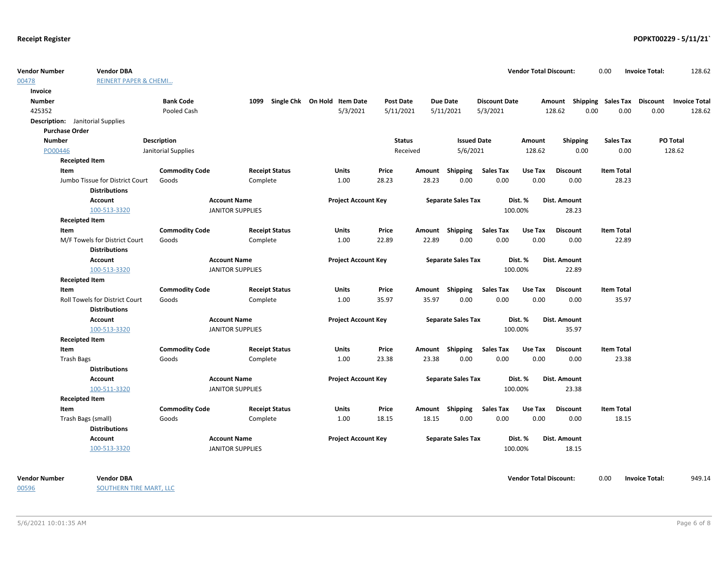| <b>Vendor Number</b><br>00478           | <b>Vendor DBA</b><br><b>REINERT PAPER &amp; CHEMI</b> |                       |                                                |                                   |                            |                  |       |                           |                          | <b>Vendor Total Discount:</b> |                           | 0.00              | <b>Invoice Total:</b> | 128.62               |
|-----------------------------------------|-------------------------------------------------------|-----------------------|------------------------------------------------|-----------------------------------|----------------------------|------------------|-------|---------------------------|--------------------------|-------------------------------|---------------------------|-------------------|-----------------------|----------------------|
| Invoice                                 |                                                       |                       |                                                |                                   |                            |                  |       |                           |                          |                               |                           |                   |                       |                      |
| <b>Number</b>                           |                                                       | <b>Bank Code</b>      |                                                | 1099 Single Chk On Hold Item Date |                            | <b>Post Date</b> |       | <b>Due Date</b>           | <b>Discount Date</b>     |                               | Amount Shipping Sales Tax |                   | Discount              | <b>Invoice Total</b> |
| 425352                                  |                                                       | Pooled Cash           |                                                |                                   | 5/3/2021                   | 5/11/2021        |       | 5/11/2021                 | 5/3/2021                 |                               | 128.62<br>0.00            | 0.00              | 0.00                  | 128.62               |
| <b>Description:</b> Janitorial Supplies |                                                       |                       |                                                |                                   |                            |                  |       |                           |                          |                               |                           |                   |                       |                      |
| <b>Purchase Order</b>                   |                                                       |                       |                                                |                                   |                            |                  |       |                           |                          |                               |                           |                   |                       |                      |
| <b>Number</b>                           |                                                       | <b>Description</b>    |                                                |                                   |                            | <b>Status</b>    |       | <b>Issued Date</b>        |                          | Amount                        | Shipping                  | <b>Sales Tax</b>  |                       | PO Total             |
| PO00446                                 |                                                       | Janitorial Supplies   |                                                |                                   |                            | Received         |       | 5/6/2021                  |                          | 128.62                        | 0.00                      | 0.00              |                       | 128.62               |
|                                         | <b>Receipted Item</b>                                 |                       |                                                |                                   |                            |                  |       |                           |                          |                               |                           |                   |                       |                      |
| Item                                    |                                                       | <b>Commodity Code</b> |                                                | <b>Receipt Status</b>             | <b>Units</b>               | Price            |       | Amount Shipping           | <b>Sales Tax</b>         | Use Tax                       | <b>Discount</b>           | <b>Item Total</b> |                       |                      |
|                                         | Jumbo Tissue for District Court                       | Goods                 | Complete                                       |                                   | 1.00                       | 28.23            | 28.23 | 0.00                      | 0.00                     | 0.00                          | 0.00                      | 28.23             |                       |                      |
|                                         | <b>Distributions</b>                                  |                       |                                                |                                   |                            |                  |       |                           |                          |                               |                           |                   |                       |                      |
|                                         | Account                                               |                       | <b>Account Name</b>                            |                                   | <b>Project Account Key</b> |                  |       | <b>Separate Sales Tax</b> |                          | Dist. %                       | Dist. Amount              |                   |                       |                      |
|                                         | 100-513-3320                                          |                       | <b>JANITOR SUPPLIES</b>                        |                                   |                            |                  |       |                           |                          | 100.00%                       | 28.23                     |                   |                       |                      |
|                                         | <b>Receipted Item</b>                                 |                       |                                                |                                   |                            |                  |       |                           |                          |                               |                           |                   |                       |                      |
| Item                                    |                                                       | <b>Commodity Code</b> |                                                | <b>Receipt Status</b>             | <b>Units</b>               | Price            |       | Amount Shipping           | <b>Sales Tax</b>         | Use Tax                       | <b>Discount</b>           | <b>Item Total</b> |                       |                      |
|                                         | M/F Towels for District Court<br><b>Distributions</b> | Goods                 | Complete                                       |                                   | 1.00                       | 22.89            | 22.89 | 0.00                      | 0.00                     | 0.00                          | 0.00                      | 22.89             |                       |                      |
|                                         | Account<br>100-513-3320                               |                       | <b>Account Name</b><br><b>JANITOR SUPPLIES</b> |                                   | <b>Project Account Key</b> |                  |       | <b>Separate Sales Tax</b> |                          | Dist. %<br>100.00%            | Dist. Amount<br>22.89     |                   |                       |                      |
|                                         | <b>Receipted Item</b>                                 |                       |                                                |                                   |                            |                  |       |                           |                          |                               |                           |                   |                       |                      |
| Item                                    |                                                       | <b>Commodity Code</b> |                                                | <b>Receipt Status</b>             | <b>Units</b>               | Price            |       | Amount Shipping           | <b>Sales Tax</b>         | Use Tax                       | <b>Discount</b>           | <b>Item Total</b> |                       |                      |
|                                         | Roll Towels for District Court                        | Goods                 | Complete                                       |                                   | 1.00                       | 35.97            | 35.97 | 0.00                      | 0.00                     | 0.00                          | 0.00                      | 35.97             |                       |                      |
|                                         | <b>Distributions</b>                                  |                       |                                                |                                   |                            |                  |       |                           |                          |                               |                           |                   |                       |                      |
|                                         | Account                                               |                       | <b>Account Name</b>                            |                                   | <b>Project Account Key</b> |                  |       | <b>Separate Sales Tax</b> |                          | Dist. %                       | Dist. Amount              |                   |                       |                      |
|                                         | 100-513-3320                                          |                       | <b>JANITOR SUPPLIES</b>                        |                                   |                            |                  |       |                           |                          | 100.00%                       | 35.97                     |                   |                       |                      |
|                                         | <b>Receipted Item</b>                                 |                       |                                                |                                   |                            |                  |       |                           |                          |                               |                           |                   |                       |                      |
| Item                                    |                                                       | <b>Commodity Code</b> |                                                | <b>Receipt Status</b>             | <b>Units</b>               | Price            |       | Amount Shipping           | <b>Sales Tax</b>         | Use Tax                       | <b>Discount</b>           | <b>Item Total</b> |                       |                      |
| <b>Trash Bags</b>                       |                                                       | Goods                 | Complete                                       |                                   | 1.00                       | 23.38            | 23.38 | 0.00                      | 0.00                     | 0.00                          | 0.00                      | 23.38             |                       |                      |
|                                         | <b>Distributions</b>                                  |                       |                                                |                                   |                            |                  |       |                           |                          |                               |                           |                   |                       |                      |
|                                         | Account                                               |                       | <b>Account Name</b>                            |                                   | <b>Project Account Key</b> |                  |       | <b>Separate Sales Tax</b> |                          | Dist. %                       | Dist. Amount              |                   |                       |                      |
|                                         | 100-511-3320                                          |                       | <b>JANITOR SUPPLIES</b>                        |                                   |                            |                  |       |                           |                          | 100.00%                       | 23.38                     |                   |                       |                      |
|                                         | <b>Receipted Item</b>                                 |                       |                                                |                                   |                            |                  |       |                           |                          |                               |                           |                   |                       |                      |
| Item                                    |                                                       | <b>Commodity Code</b> |                                                | <b>Receipt Status</b>             | <b>Units</b>               | Price            |       | Amount Shipping<br>0.00   | <b>Sales Tax</b><br>0.00 | Use Tax<br>0.00               | <b>Discount</b>           | <b>Item Total</b> |                       |                      |
|                                         | Trash Bags (small)<br><b>Distributions</b>            | Goods                 | Complete                                       |                                   | 1.00                       | 18.15            | 18.15 |                           |                          |                               | 0.00                      | 18.15             |                       |                      |
|                                         | <b>Account</b>                                        |                       | <b>Account Name</b>                            |                                   | <b>Project Account Key</b> |                  |       | <b>Separate Sales Tax</b> |                          | Dist. %                       | Dist. Amount              |                   |                       |                      |
|                                         | 100-513-3320                                          |                       | <b>JANITOR SUPPLIES</b>                        |                                   |                            |                  |       |                           |                          | 100.00%                       | 18.15                     |                   |                       |                      |

00596

**Vendor Number Vendor Total Discount:** 949.14 **Vendor DBA** 0.00 **Invoice Total:**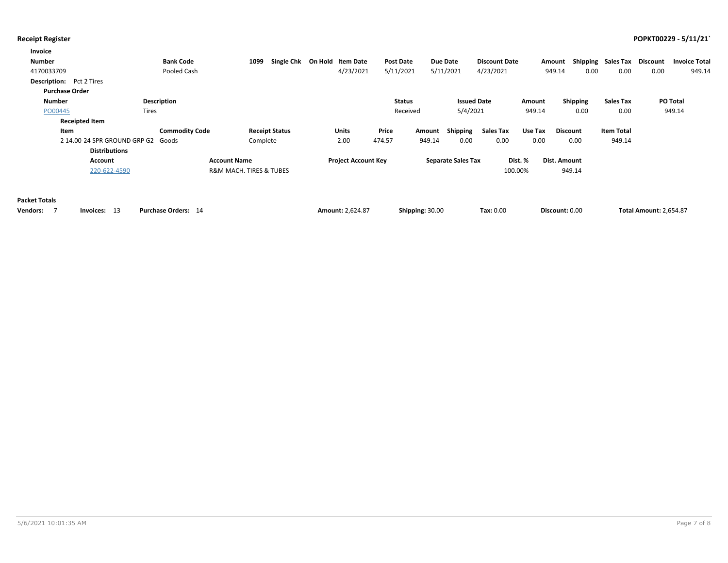| Invoice                         |                                    |                       |                                        |                       |                            |                  |        |                           |                      |         |                 |                    |          |                      |
|---------------------------------|------------------------------------|-----------------------|----------------------------------------|-----------------------|----------------------------|------------------|--------|---------------------------|----------------------|---------|-----------------|--------------------|----------|----------------------|
| <b>Number</b>                   |                                    | <b>Bank Code</b>      | 1099                                   | Single Chk            | On Hold Item Date          | <b>Post Date</b> |        | Due Date                  | <b>Discount Date</b> |         | Amount          | Shipping Sales Tax | Discount | <b>Invoice Total</b> |
| 4170033709                      |                                    | Pooled Cash           |                                        |                       | 4/23/2021                  | 5/11/2021        |        | 5/11/2021                 | 4/23/2021            |         | 0.00<br>949.14  | 0.00               | 0.00     | 949.14               |
| <b>Description:</b> Pct 2 Tires |                                    |                       |                                        |                       |                            |                  |        |                           |                      |         |                 |                    |          |                      |
| <b>Purchase Order</b>           |                                    |                       |                                        |                       |                            |                  |        |                           |                      |         |                 |                    |          |                      |
| Number                          |                                    | <b>Description</b>    |                                        |                       |                            | <b>Status</b>    |        | <b>Issued Date</b>        |                      | Amount  | Shipping        | <b>Sales Tax</b>   |          | <b>PO Total</b>      |
| PO00445                         | <b>Tires</b>                       |                       |                                        |                       |                            | Received         |        | 5/4/2021                  |                      | 949.14  | 0.00            | 0.00               |          | 949.14               |
|                                 | <b>Receipted Item</b>              |                       |                                        |                       |                            |                  |        |                           |                      |         |                 |                    |          |                      |
| Item                            |                                    | <b>Commodity Code</b> |                                        | <b>Receipt Status</b> | Units                      | Price            | Amount | Shipping                  | Sales Tax            | Use Tax | <b>Discount</b> | <b>Item Total</b>  |          |                      |
|                                 | 2 14.00-24 SPR GROUND GRP G2 Goods |                       | Complete                               |                       | 2.00                       | 474.57           | 949.14 | 0.00                      | 0.00                 | 0.00    | 0.00            | 949.14             |          |                      |
|                                 | <b>Distributions</b>               |                       |                                        |                       |                            |                  |        |                           |                      |         |                 |                    |          |                      |
|                                 | Account                            |                       | <b>Account Name</b>                    |                       | <b>Project Account Key</b> |                  |        | <b>Separate Sales Tax</b> |                      | Dist. % | Dist. Amount    |                    |          |                      |
|                                 | 220-622-4590                       |                       | <b>R&amp;M MACH, TIRES &amp; TUBES</b> |                       |                            |                  |        |                           | 100.00%              |         | 949.14          |                    |          |                      |
|                                 |                                    |                       |                                        |                       |                            |                  |        |                           |                      |         |                 |                    |          |                      |

### **Packet Totals**

| Vendors: | Invoices: 13 | <b>Purchase Orders: 14</b> | <b>Amount: 2.624.87</b> | Shipping: 30.00 | <b>Tax: 0.00</b> | Discount: 0.00 | <b>Total Amount: 2,654.87</b> |
|----------|--------------|----------------------------|-------------------------|-----------------|------------------|----------------|-------------------------------|
|----------|--------------|----------------------------|-------------------------|-----------------|------------------|----------------|-------------------------------|